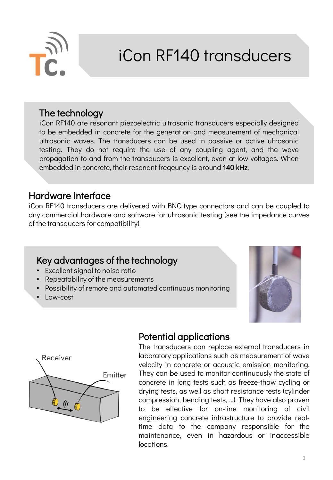

# iCon RF140 transducers

### The technology

iCon RF140 are resonant piezoelectric ultrasonic transducers especially designed to be embedded in concrete for the generation and measurement of mechanical ultrasonic waves. The transducers can be used in passive or active ultrasonic testing. They do not require the use of any coupling agent, and the wave propagation to and from the transducers is excellent, even at low voltages. When embedded in concrete, their resonant freqeuncy is around 140 kHz.

#### Hardware interface

iCon RF140 transducers are delivered with BNC type connectors and can be coupled to any commercial hardware and software for ultrasonic testing (see the impedance curves of the transducers for compatibility)

## Key advantages of the technology

- Excellent signal to noise ratio
- Repeatability of the measurements
- Possibility of remote and automated continuous monitoring
- Low-cost





## Potential applications

The transducers can replace external transducers in laboratory applications such as measurement of wave velocity in concrete or acoustic emission monitoring. They can be used to monitor continuously the state of concrete in long tests such as freeze-thaw cycling or drying tests, as well as short resistance tests (cylinder compression, bending tests, …). They have also proven to be effective for on-line monitoring of civil engineering concrete infrastructure to provide realtime data to the company responsible for the maintenance, even in hazardous or inaccessible locations.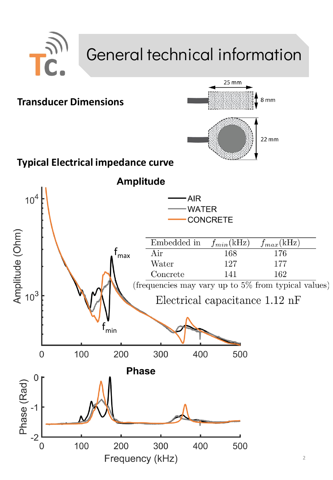